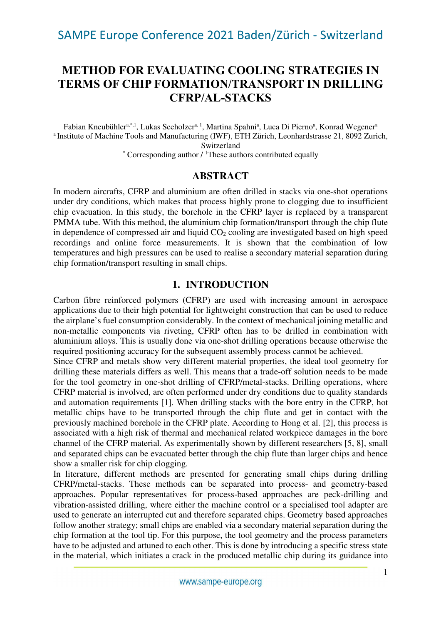## **METHOD FOR EVALUATING COOLING STRATEGIES IN TERMS OF CHIP FORMATION/TRANSPORT IN DRILLING CFRP/AL-STACKS**

Fabian Kneubühler<sup>a,\*,1</sup>, Lukas Seeholzer<sup>a, 1</sup>, Martina Spahni<sup>a</sup>, Luca Di Pierno<sup>a</sup>, Konrad Wegener<sup>a</sup> <sup>a</sup> Institute of Machine Tools and Manufacturing (IWF), ETH Zürich, Leonhardstrasse 21, 8092 Zurich, Switzerland \* Corresponding author / <sup>1</sup>These authors contributed equally

### **ABSTRACT**

In modern aircrafts, CFRP and aluminium are often drilled in stacks via one-shot operations under dry conditions, which makes that process highly prone to clogging due to insufficient chip evacuation. In this study, the borehole in the CFRP layer is replaced by a transparent PMMA tube. With this method, the aluminium chip formation/transport through the chip flute in dependence of compressed air and liquid  $CO<sub>2</sub>$  cooling are investigated based on high speed recordings and online force measurements. It is shown that the combination of low temperatures and high pressures can be used to realise a secondary material separation during chip formation/transport resulting in small chips.

### **1. INTRODUCTION**

Carbon fibre reinforced polymers (CFRP) are used with increasing amount in aerospace applications due to their high potential for lightweight construction that can be used to reduce the airplane's fuel consumption considerably. In the context of mechanical joining metallic and non-metallic components via riveting, CFRP often has to be drilled in combination with aluminium alloys. This is usually done via one-shot drilling operations because otherwise the required positioning accuracy for the subsequent assembly process cannot be achieved.

Since CFRP and metals show very different material properties, the ideal tool geometry for drilling these materials differs as well. This means that a trade-off solution needs to be made for the tool geometry in one-shot drilling of CFRP/metal-stacks. Drilling operations, where CFRP material is involved, are often performed under dry conditions due to quality standards and automation requirements [1]. When drilling stacks with the bore entry in the CFRP, hot metallic chips have to be transported through the chip flute and get in contact with the previously machined borehole in the CFRP plate. According to Hong et al. [2], this process is associated with a high risk of thermal and mechanical related workpiece damages in the bore channel of the CFRP material. As experimentally shown by different researchers [5, 8], small and separated chips can be evacuated better through the chip flute than larger chips and hence show a smaller risk for chip clogging.

In literature, different methods are presented for generating small chips during drilling CFRP/metal-stacks. These methods can be separated into process- and geometry-based approaches. Popular representatives for process-based approaches are peck-drilling and vibration-assisted drilling, where either the machine control or a specialised tool adapter are used to generate an interrupted cut and therefore separated chips. Geometry based approaches follow another strategy; small chips are enabled via a secondary material separation during the chip formation at the tool tip. For this purpose, the tool geometry and the process parameters have to be adjusted and attuned to each other. This is done by introducing a specific stress state in the material, which initiates a crack in the produced metallic chip during its guidance into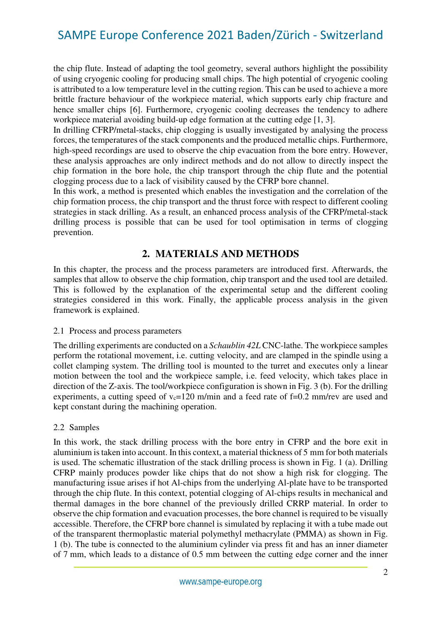the chip flute. Instead of adapting the tool geometry, several authors highlight the possibility of using cryogenic cooling for producing small chips. The high potential of cryogenic cooling is attributed to a low temperature level in the cutting region. This can be used to achieve a more brittle fracture behaviour of the workpiece material, which supports early chip fracture and hence smaller chips [6]. Furthermore, cryogenic cooling decreases the tendency to adhere workpiece material avoiding build-up edge formation at the cutting edge [1, 3].

In drilling CFRP/metal-stacks, chip clogging is usually investigated by analysing the process forces, the temperatures of the stack components and the produced metallic chips. Furthermore, high-speed recordings are used to observe the chip evacuation from the bore entry. However, these analysis approaches are only indirect methods and do not allow to directly inspect the chip formation in the bore hole, the chip transport through the chip flute and the potential clogging process due to a lack of visibility caused by the CFRP bore channel.

In this work, a method is presented which enables the investigation and the correlation of the chip formation process, the chip transport and the thrust force with respect to different cooling strategies in stack drilling. As a result, an enhanced process analysis of the CFRP/metal-stack drilling process is possible that can be used for tool optimisation in terms of clogging prevention.

### **2. MATERIALS AND METHODS**

In this chapter, the process and the process parameters are introduced first. Afterwards, the samples that allow to observe the chip formation, chip transport and the used tool are detailed. This is followed by the explanation of the experimental setup and the different cooling strategies considered in this work. Finally, the applicable process analysis in the given framework is explained.

#### 2.1 Process and process parameters

The drilling experiments are conducted on a *Schaublin 42L* CNC-lathe. The workpiece samples perform the rotational movement, i.e. cutting velocity, and are clamped in the spindle using a collet clamping system. The drilling tool is mounted to the turret and executes only a linear motion between the tool and the workpiece sample, i.e. feed velocity, which takes place in direction of the Z-axis. The tool/workpiece configuration is shown in Fig. 3 (b). For the drilling experiments, a cutting speed of  $v_c=120$  m/min and a feed rate of f=0.2 mm/rev are used and kept constant during the machining operation.

#### 2.2 Samples

In this work, the stack drilling process with the bore entry in CFRP and the bore exit in aluminium is taken into account. In this context, a material thickness of 5 mm for both materials is used. The schematic illustration of the stack drilling process is shown in Fig. 1 (a). Drilling CFRP mainly produces powder like chips that do not show a high risk for clogging. The manufacturing issue arises if hot Al-chips from the underlying Al-plate have to be transported through the chip flute. In this context, potential clogging of Al-chips results in mechanical and thermal damages in the bore channel of the previously drilled CRRP material. In order to observe the chip formation and evacuation processes, the bore channel is required to be visually accessible. Therefore, the CFRP bore channel is simulated by replacing it with a tube made out of the transparent thermoplastic material polymethyl methacrylate (PMMA) as shown in Fig. 1 (b). The tube is connected to the aluminium cylinder via press fit and has an inner diameter of 7 mm, which leads to a distance of 0.5 mm between the cutting edge corner and the inner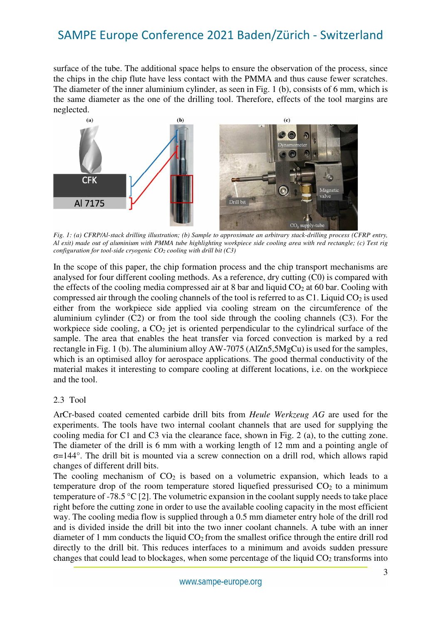surface of the tube. The additional space helps to ensure the observation of the process, since the chips in the chip flute have less contact with the PMMA and thus cause fewer scratches. The diameter of the inner aluminium cylinder, as seen in Fig. 1 (b), consists of 6 mm, which is the same diameter as the one of the drilling tool. Therefore, effects of the tool margins are neglected.



*Fig. 1: (a) CFRP/Al-stack drilling illustration; (b) Sample to approximate an arbitrary stack-drilling process (CFRP entry, Al exit) made out of aluminium with PMMA tube highlighting workpiece side cooling area with red rectangle; (c) Test rig configuration for tool-side cryogenic CO2 cooling with drill bit (C3)* 

In the scope of this paper, the chip formation process and the chip transport mechanisms are analysed for four different cooling methods. As a reference, dry cutting (C0) is compared with the effects of the cooling media compressed air at 8 bar and liquid  $CO<sub>2</sub>$  at 60 bar. Cooling with compressed air through the cooling channels of the tool is referred to as  $C_1$ . Liquid  $CO_2$  is used either from the workpiece side applied via cooling stream on the circumference of the aluminium cylinder (C2) or from the tool side through the cooling channels (C3). For the workpiece side cooling, a  $CO<sub>2</sub>$  jet is oriented perpendicular to the cylindrical surface of the sample. The area that enables the heat transfer via forced convection is marked by a red rectangle in Fig. 1 (b). The aluminium alloy AW-7075 (AlZn5,5MgCu) is used for the samples, which is an optimised alloy for aerospace applications. The good thermal conductivity of the material makes it interesting to compare cooling at different locations, i.e. on the workpiece and the tool.

#### 2.3 Tool

ArCr-based coated cemented carbide drill bits from *Heule Werkzeug AG* are used for the experiments. The tools have two internal coolant channels that are used for supplying the cooling media for C1 and C3 via the clearance face, shown in Fig. 2 (a), to the cutting zone. The diameter of the drill is 6 mm with a working length of 12 mm and a pointing angle of σ=144°. The drill bit is mounted via a screw connection on a drill rod, which allows rapid changes of different drill bits.

The cooling mechanism of  $CO<sub>2</sub>$  is based on a volumetric expansion, which leads to a temperature drop of the room temperature stored liquefied pressurised  $CO<sub>2</sub>$  to a minimum temperature of -78.5 °C [2]. The volumetric expansion in the coolant supply needs to take place right before the cutting zone in order to use the available cooling capacity in the most efficient way. The cooling media flow is supplied through a 0.5 mm diameter entry hole of the drill rod and is divided inside the drill bit into the two inner coolant channels. A tube with an inner diameter of 1 mm conducts the liquid CO2 from the smallest orifice through the entire drill rod directly to the drill bit. This reduces interfaces to a minimum and avoids sudden pressure changes that could lead to blockages, when some percentage of the liquid  $CO<sub>2</sub>$  transforms into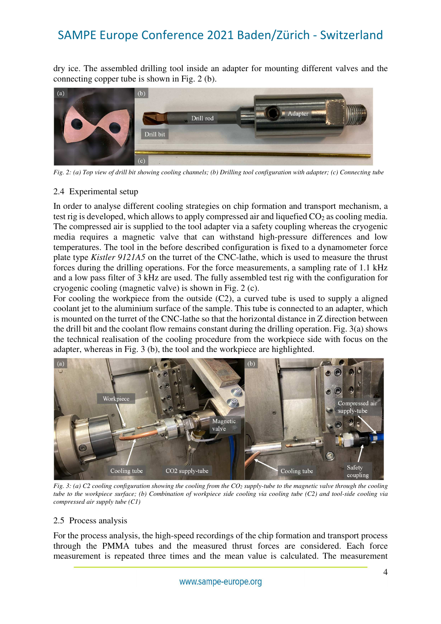dry ice. The assembled drilling tool inside an adapter for mounting different valves and the connecting copper tube is shown in Fig. 2 (b).



*Fig. 2: (a) Top view of drill bit showing cooling channels; (b) Drilling tool configuration with adapter; (c) Connecting tube* 

#### 2.4 Experimental setup

In order to analyse different cooling strategies on chip formation and transport mechanism, a test rig is developed, which allows to apply compressed air and liquefied  $CO<sub>2</sub>$  as cooling media. The compressed air is supplied to the tool adapter via a safety coupling whereas the cryogenic media requires a magnetic valve that can withstand high-pressure differences and low temperatures. The tool in the before described configuration is fixed to a dynamometer force plate type *Kistler 9121A5* on the turret of the CNC-lathe, which is used to measure the thrust forces during the drilling operations. For the force measurements, a sampling rate of 1.1 kHz and a low pass filter of 3 kHz are used. The fully assembled test rig with the configuration for cryogenic cooling (magnetic valve) is shown in Fig. 2 (c).

For cooling the workpiece from the outside (C2), a curved tube is used to supply a aligned coolant jet to the aluminium surface of the sample. This tube is connected to an adapter, which is mounted on the turret of the CNC-lathe so that the horizontal distance in Z direction between the drill bit and the coolant flow remains constant during the drilling operation. Fig. 3(a) shows the technical realisation of the cooling procedure from the workpiece side with focus on the adapter, whereas in Fig. 3 (b), the tool and the workpiece are highlighted.



*Fig. 3: (a) C2 cooling configuration showing the cooling from the CO<sub>2</sub> supply-tube to the magnetic valve through the cooling tube to the workpiece surface; (b) Combination of workpiece side cooling via cooling tube (C2) and tool-side cooling via compressed air supply tube (C1)* 

#### 2.5 Process analysis

For the process analysis, the high-speed recordings of the chip formation and transport process through the PMMA tubes and the measured thrust forces are considered. Each force measurement is repeated three times and the mean value is calculated. The measurement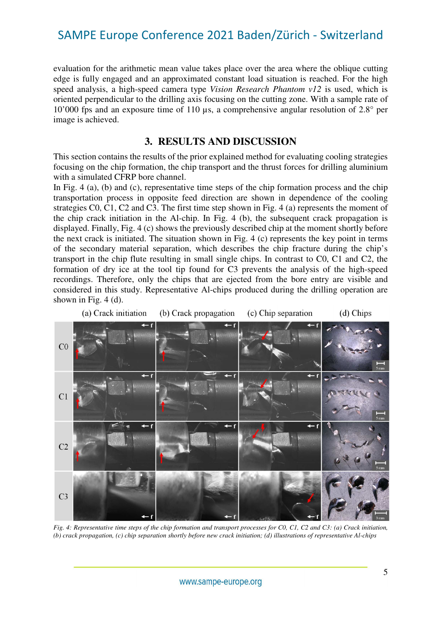evaluation for the arithmetic mean value takes place over the area where the oblique cutting edge is fully engaged and an approximated constant load situation is reached. For the high speed analysis, a high-speed camera type *Vision Research Phantom v12* is used, which is oriented perpendicular to the drilling axis focusing on the cutting zone. With a sample rate of 10'000 fps and an exposure time of 110 µs, a comprehensive angular resolution of 2.8° per image is achieved.

### **3. RESULTS AND DISCUSSION**

This section contains the results of the prior explained method for evaluating cooling strategies focusing on the chip formation, the chip transport and the thrust forces for drilling aluminium with a simulated CFRP bore channel.

In Fig. 4 (a), (b) and (c), representative time steps of the chip formation process and the chip transportation process in opposite feed direction are shown in dependence of the cooling strategies C0, C1, C2 and C3. The first time step shown in Fig. 4 (a) represents the moment of the chip crack initiation in the Al-chip. In Fig. 4 (b), the subsequent crack propagation is displayed. Finally, Fig. 4 (c) shows the previously described chip at the moment shortly before the next crack is initiated. The situation shown in Fig. 4 (c) represents the key point in terms of the secondary material separation, which describes the chip fracture during the chip's transport in the chip flute resulting in small single chips. In contrast to C0, C1 and C2, the formation of dry ice at the tool tip found for C3 prevents the analysis of the high-speed recordings. Therefore, only the chips that are ejected from the bore entry are visible and considered in this study. Representative Al-chips produced during the drilling operation are shown in Fig. 4 (d).



*Fig. 4: Representative time steps of the chip formation and transport processes for C0, C1, C2 and C3: (a) Crack initiation, (b) crack propagation, (c) chip separation shortly before new crack initiation; (d) illustrations of representative Al-chips*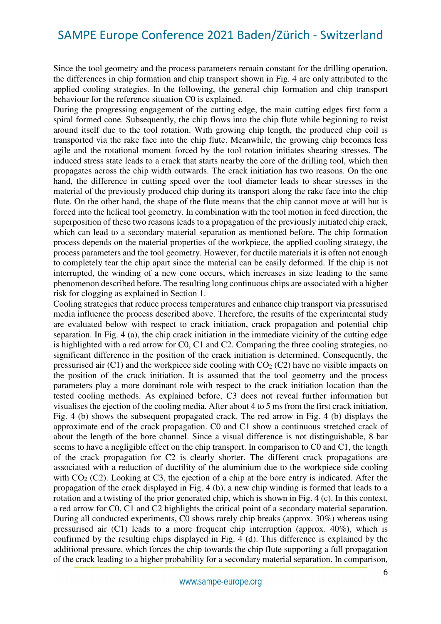Since the tool geometry and the process parameters remain constant for the drilling operation, the differences in chip formation and chip transport shown in Fig. 4 are only attributed to the applied cooling strategies. In the following, the general chip formation and chip transport behaviour for the reference situation C0 is explained.

During the progressing engagement of the cutting edge, the main cutting edges first form a spiral formed cone. Subsequently, the chip flows into the chip flute while beginning to twist around itself due to the tool rotation. With growing chip length, the produced chip coil is transported via the rake face into the chip flute. Meanwhile, the growing chip becomes less agile and the rotational moment forced by the tool rotation initiates shearing stresses. The induced stress state leads to a crack that starts nearby the core of the drilling tool, which then propagates across the chip width outwards. The crack initiation has two reasons. On the one hand, the difference in cutting speed over the tool diameter leads to shear stresses in the material of the previously produced chip during its transport along the rake face into the chip flute. On the other hand, the shape of the flute means that the chip cannot move at will but is forced into the helical tool geometry. In combination with the tool motion in feed direction, the superposition of these two reasons leads to a propagation of the previously initiated chip crack, which can lead to a secondary material separation as mentioned before. The chip formation process depends on the material properties of the workpiece, the applied cooling strategy, the process parameters and the tool geometry. However, for ductile materials it is often not enough to completely tear the chip apart since the material can be easily deformed. If the chip is not interrupted, the winding of a new cone occurs, which increases in size leading to the same phenomenon described before. The resulting long continuous chips are associated with a higher risk for clogging as explained in Section 1.

Cooling strategies that reduce process temperatures and enhance chip transport via pressurised media influence the process described above. Therefore, the results of the experimental study are evaluated below with respect to crack initiation, crack propagation and potential chip separation. In Fig. 4 (a), the chip crack initiation in the immediate vicinity of the cutting edge is highlighted with a red arrow for C0, C1 and C2. Comparing the three cooling strategies, no significant difference in the position of the crack initiation is determined. Consequently, the pressurised air  $(C1)$  and the workpiece side cooling with  $CO<sub>2</sub>(C2)$  have no visible impacts on the position of the crack initiation. It is assumed that the tool geometry and the process parameters play a more dominant role with respect to the crack initiation location than the tested cooling methods. As explained before, C3 does not reveal further information but visualises the ejection of the cooling media. After about 4 to 5 ms from the first crack initiation, Fig. 4 (b) shows the subsequent propagated crack. The red arrow in Fig. 4 (b) displays the approximate end of the crack propagation. C0 and C1 show a continuous stretched crack of about the length of the bore channel. Since a visual difference is not distinguishable, 8 bar seems to have a negligible effect on the chip transport. In comparison to C0 and C1, the length of the crack propagation for C2 is clearly shorter. The different crack propagations are associated with a reduction of ductility of the aluminium due to the workpiece side cooling with  $CO<sub>2</sub> (C<sub>2</sub>)$ . Looking at C3, the ejection of a chip at the bore entry is indicated. After the propagation of the crack displayed in Fig. 4 (b), a new chip winding is formed that leads to a rotation and a twisting of the prior generated chip, which is shown in Fig. 4 (c). In this context, a red arrow for C0, C1 and C2 highlights the critical point of a secondary material separation. During all conducted experiments, C0 shows rarely chip breaks (approx. 30%) whereas using pressurised air (C1) leads to a more frequent chip interruption (approx. 40%), which is confirmed by the resulting chips displayed in Fig. 4 (d). This difference is explained by the additional pressure, which forces the chip towards the chip flute supporting a full propagation of the crack leading to a higher probability for a secondary material separation. In comparison,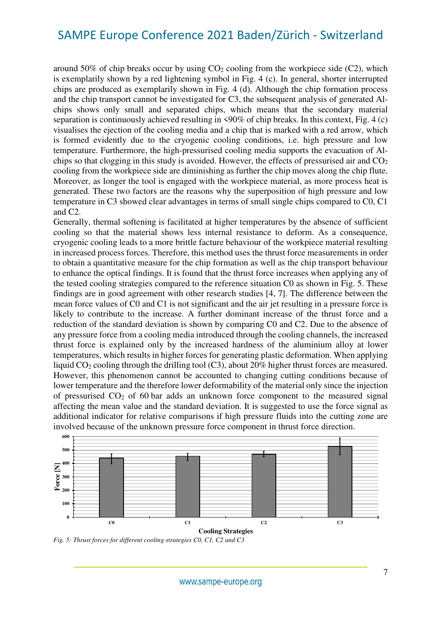around 50% of chip breaks occur by using  $CO<sub>2</sub>$  cooling from the workpiece side (C2), which is exemplarily shown by a red lightening symbol in Fig. 4 (c). In general, shorter interrupted chips are produced as exemplarily shown in Fig. 4 (d). Although the chip formation process and the chip transport cannot be investigated for C3, the subsequent analysis of generated Alchips shows only small and separated chips, which means that the secondary material separation is continuously achieved resulting in <90% of chip breaks. In this context, Fig. 4 (c) visualises the ejection of the cooling media and a chip that is marked with a red arrow, which is formed evidently due to the cryogenic cooling conditions, i.e. high pressure and low temperature. Furthermore, the high-pressurised cooling media supports the evacuation of Alchips so that clogging in this study is avoided. However, the effects of pressurised air and  $CO<sub>2</sub>$ cooling from the workpiece side are diminishing as further the chip moves along the chip flute. Moreover, as longer the tool is engaged with the workpiece material, as more process heat is generated. These two factors are the reasons why the superposition of high pressure and low temperature in C3 showed clear advantages in terms of small single chips compared to C0, C1 and C2.

Generally, thermal softening is facilitated at higher temperatures by the absence of sufficient cooling so that the material shows less internal resistance to deform. As a consequence, cryogenic cooling leads to a more brittle facture behaviour of the workpiece material resulting in increased process forces. Therefore, this method uses the thrust force measurements in order to obtain a quantitative measure for the chip formation as well as the chip transport behaviour to enhance the optical findings. It is found that the thrust force increases when applying any of the tested cooling strategies compared to the reference situation C0 as shown in Fig. 5. These findings are in good agreement with other research studies [4, 7]. The difference between the mean force values of C0 and C1 is not significant and the air jet resulting in a pressure force is likely to contribute to the increase. A further dominant increase of the thrust force and a reduction of the standard deviation is shown by comparing C0 and C2. Due to the absence of any pressure force from a cooling media introduced through the cooling channels, the increased thrust force is explained only by the increased hardness of the aluminium alloy at lower temperatures, which results in higher forces for generating plastic deformation. When applying liquid CO<sub>2</sub> cooling through the drilling tool (C3), about 20% higher thrust forces are measured. However, this phenomenon cannot be accounted to changing cutting conditions because of lower temperature and the therefore lower deformability of the material only since the injection of pressurised  $CO<sub>2</sub>$  of 60 bar adds an unknown force component to the measured signal affecting the mean value and the standard deviation. It is suggested to use the force signal as additional indicator for relative comparisons if high pressure fluids into the cutting zone are involved because of the unknown pressure force component in thrust force direction.



*Fig. 5: Thrust forces for different cooling strategies C0, C1, C2 and C3*